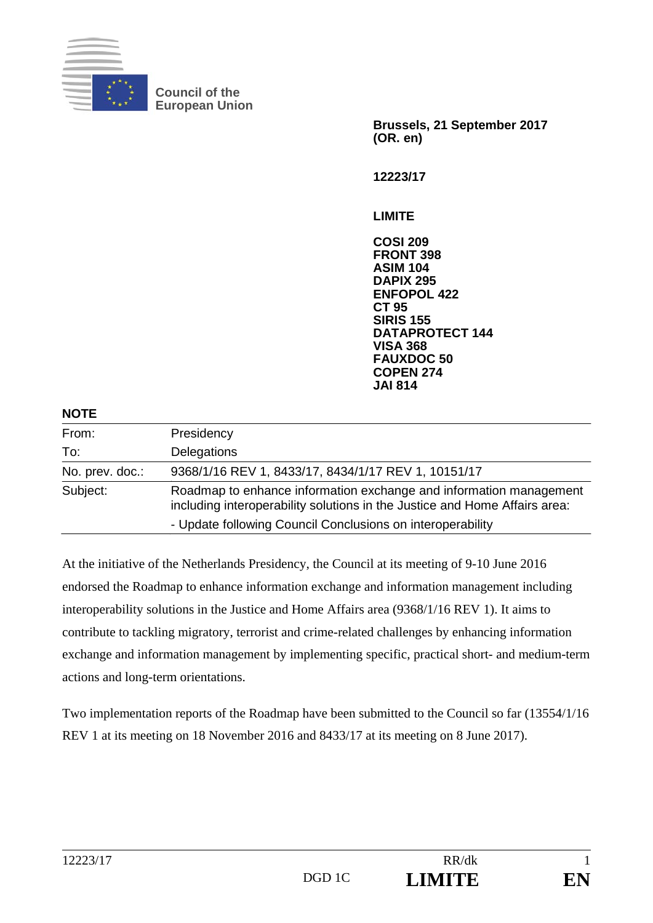

**Council of the European Union** 

**Brussels, 21 September 2017 (OR. en)** 

**12223/17** 

**LIMITE** 

**COSI 209 FRONT 398 ASIM 104 DAPIX 295 ENFOPOL 422 CT 95 SIRIS 155 DATAPROTECT 144 VISA 368 FAUXDOC 50 COPEN 274 JAI 814**

| <b>NOTE</b>     |                                                                                                                                                  |
|-----------------|--------------------------------------------------------------------------------------------------------------------------------------------------|
| From:           | Presidency                                                                                                                                       |
| To:             | Delegations                                                                                                                                      |
| No. prev. doc.: | 9368/1/16 REV 1, 8433/17, 8434/1/17 REV 1, 10151/17                                                                                              |
| Subject:        | Roadmap to enhance information exchange and information management<br>including interoperability solutions in the Justice and Home Affairs area: |
|                 | - Update following Council Conclusions on interoperability                                                                                       |

At the initiative of the Netherlands Presidency, the Council at its meeting of 9-10 June 2016 endorsed the Roadmap to enhance information exchange and information management including interoperability solutions in the Justice and Home Affairs area (9368/1/16 REV 1). It aims to contribute to tackling migratory, terrorist and crime-related challenges by enhancing information exchange and information management by implementing specific, practical short- and medium-term actions and long-term orientations.

Two implementation reports of the Roadmap have been submitted to the Council so far (13554/1/16 REV 1 at its meeting on 18 November 2016 and 8433/17 at its meeting on 8 June 2017).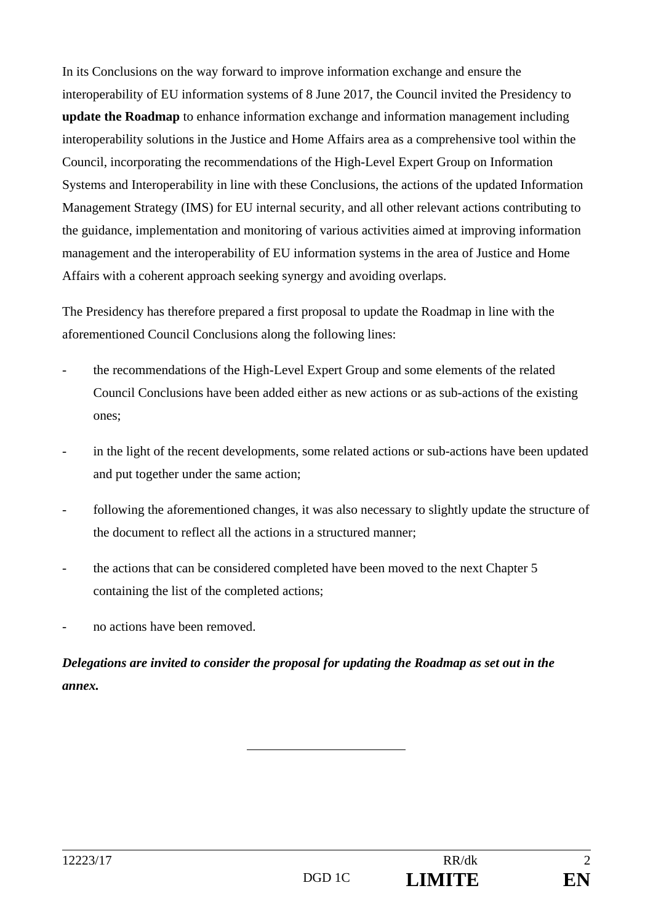In its Conclusions on the way forward to improve information exchange and ensure the interoperability of EU information systems of 8 June 2017, the Council invited the Presidency to **update the Roadmap** to enhance information exchange and information management including interoperability solutions in the Justice and Home Affairs area as a comprehensive tool within the Council, incorporating the recommendations of the High-Level Expert Group on Information Systems and Interoperability in line with these Conclusions, the actions of the updated Information Management Strategy (IMS) for EU internal security, and all other relevant actions contributing to the guidance, implementation and monitoring of various activities aimed at improving information management and the interoperability of EU information systems in the area of Justice and Home Affairs with a coherent approach seeking synergy and avoiding overlaps.

The Presidency has therefore prepared a first proposal to update the Roadmap in line with the aforementioned Council Conclusions along the following lines:

- the recommendations of the High-Level Expert Group and some elements of the related Council Conclusions have been added either as new actions or as sub-actions of the existing ones;
- in the light of the recent developments, some related actions or sub-actions have been updated and put together under the same action;
- following the aforementioned changes, it was also necessary to slightly update the structure of the document to reflect all the actions in a structured manner;
- the actions that can be considered completed have been moved to the next Chapter 5 containing the list of the completed actions;
- no actions have been removed.

*Delegations are invited to consider the proposal for updating the Roadmap as set out in the annex.*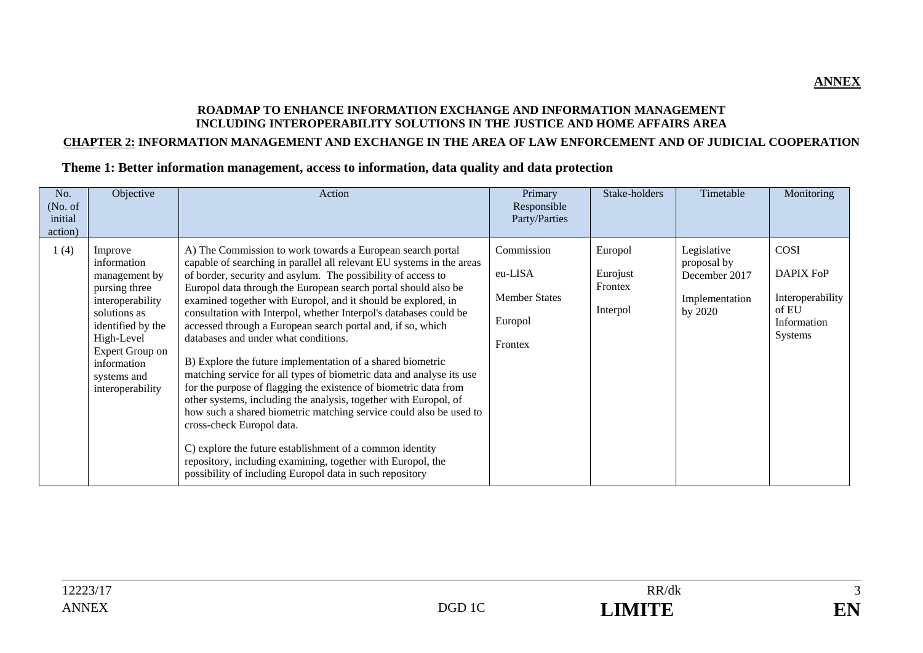#### **ROADMAP TO ENHANCE INFORMATION EXCHANGE AND INFORMATION MANAGEMENT INCLUDING INTEROPERABILITY SOLUTIONS IN THE JUSTICE AND HOME AFFAIRS AREA**

#### **CHAPTER 2: INFORMATION MANAGEMENT AND EXCHANGE IN THE AREA OF LAW ENFORCEMENT AND OF JUDICIAL COOPERATION**

#### **Theme 1: Better information management, access to information, data quality and data protection**

| No.<br>(No. of)<br>initial<br>action) | Objective                                                                                                                                                                                            | Action                                                                                                                                                                                                                                                                                                                                                                                                                                                                                                                                                                                                                                                                                                                                                                                                                                                                                                                                                                                                                                                                                     | Primary<br>Responsible<br>Party/Parties                             | Stake-holders                              | Timetable                                                                | Monitoring                                                                      |
|---------------------------------------|------------------------------------------------------------------------------------------------------------------------------------------------------------------------------------------------------|--------------------------------------------------------------------------------------------------------------------------------------------------------------------------------------------------------------------------------------------------------------------------------------------------------------------------------------------------------------------------------------------------------------------------------------------------------------------------------------------------------------------------------------------------------------------------------------------------------------------------------------------------------------------------------------------------------------------------------------------------------------------------------------------------------------------------------------------------------------------------------------------------------------------------------------------------------------------------------------------------------------------------------------------------------------------------------------------|---------------------------------------------------------------------|--------------------------------------------|--------------------------------------------------------------------------|---------------------------------------------------------------------------------|
| 1(4)                                  | Improve<br>information<br>management by<br>pursing three<br>interoperability<br>solutions as<br>identified by the<br>High-Level<br>Expert Group on<br>information<br>systems and<br>interoperability | A) The Commission to work towards a European search portal<br>capable of searching in parallel all relevant EU systems in the areas<br>of border, security and asylum. The possibility of access to<br>Europol data through the European search portal should also be<br>examined together with Europol, and it should be explored, in<br>consultation with Interpol, whether Interpol's databases could be<br>accessed through a European search portal and, if so, which<br>databases and under what conditions.<br>B) Explore the future implementation of a shared biometric<br>matching service for all types of biometric data and analyse its use<br>for the purpose of flagging the existence of biometric data from<br>other systems, including the analysis, together with Europol, of<br>how such a shared biometric matching service could also be used to<br>cross-check Europol data.<br>C) explore the future establishment of a common identity<br>repository, including examining, together with Europol, the<br>possibility of including Europol data in such repository | Commission<br>eu-LISA<br><b>Member States</b><br>Europol<br>Frontex | Europol<br>Eurojust<br>Frontex<br>Interpol | Legislative<br>proposal by<br>December 2017<br>Implementation<br>by 2020 | COSI<br><b>DAPIX FoP</b><br>Interoperability<br>of EU<br>Information<br>Systems |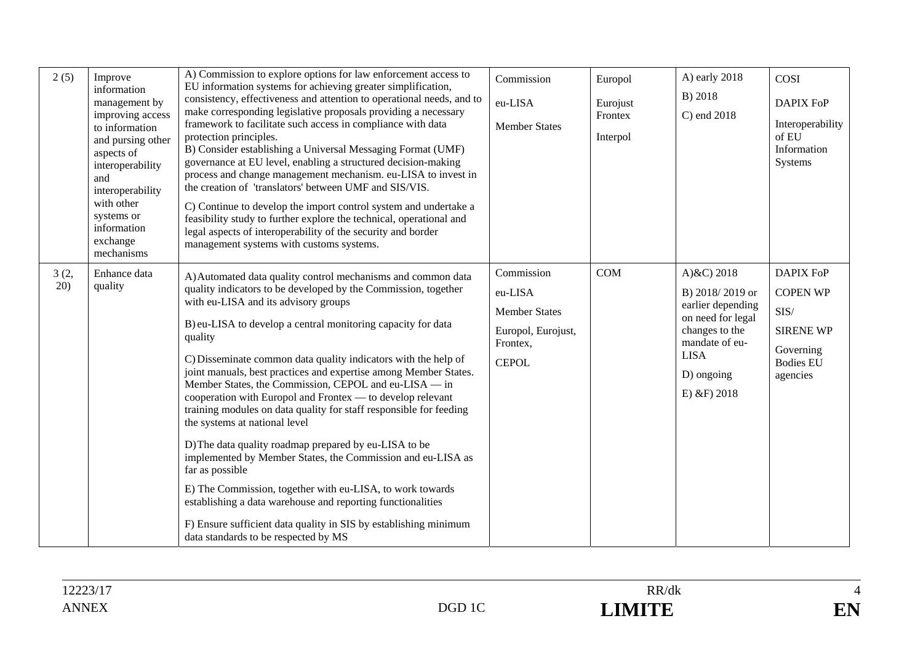| 2(5)        | Improve<br>information<br>management by<br>improving access<br>to information<br>and pursing other<br>aspects of<br>interoperability<br>and<br>interoperability<br>with other<br>systems or<br>information<br>exchange<br>mechanisms | A) Commission to explore options for law enforcement access to<br>EU information systems for achieving greater simplification,<br>consistency, effectiveness and attention to operational needs, and to<br>make corresponding legislative proposals providing a necessary<br>framework to facilitate such access in compliance with data<br>protection principles.<br>B) Consider establishing a Universal Messaging Format (UMF)<br>governance at EU level, enabling a structured decision-making<br>process and change management mechanism. eu-LISA to invest in<br>the creation of 'translators' between UMF and SIS/VIS.<br>C) Continue to develop the import control system and undertake a<br>feasibility study to further explore the technical, operational and<br>legal aspects of interoperability of the security and border<br>management systems with customs systems.                                                                                                                     | Commission<br>eu-LISA<br><b>Member States</b>                                                   | Europol<br>Eurojust<br>Frontex<br>Interpol | A) early 2018<br>B) 2018<br>C) end 2018                                                                                                                       | COSI<br><b>DAPIX FoP</b><br>Interoperability<br>of EU<br>Information<br>Systems                              |
|-------------|--------------------------------------------------------------------------------------------------------------------------------------------------------------------------------------------------------------------------------------|----------------------------------------------------------------------------------------------------------------------------------------------------------------------------------------------------------------------------------------------------------------------------------------------------------------------------------------------------------------------------------------------------------------------------------------------------------------------------------------------------------------------------------------------------------------------------------------------------------------------------------------------------------------------------------------------------------------------------------------------------------------------------------------------------------------------------------------------------------------------------------------------------------------------------------------------------------------------------------------------------------|-------------------------------------------------------------------------------------------------|--------------------------------------------|---------------------------------------------------------------------------------------------------------------------------------------------------------------|--------------------------------------------------------------------------------------------------------------|
| 3(2,<br>20) | Enhance data<br>quality                                                                                                                                                                                                              | A) Automated data quality control mechanisms and common data<br>quality indicators to be developed by the Commission, together<br>with eu-LISA and its advisory groups<br>B) eu-LISA to develop a central monitoring capacity for data<br>quality<br>C) Disseminate common data quality indicators with the help of<br>joint manuals, best practices and expertise among Member States.<br>Member States, the Commission, CEPOL and eu-LISA — in<br>cooperation with Europol and Frontex — to develop relevant<br>training modules on data quality for staff responsible for feeding<br>the systems at national level<br>D) The data quality roadmap prepared by eu-LISA to be<br>implemented by Member States, the Commission and eu-LISA as<br>far as possible<br>E) The Commission, together with eu-LISA, to work towards<br>establishing a data warehouse and reporting functionalities<br>F) Ensure sufficient data quality in SIS by establishing minimum<br>data standards to be respected by MS | Commission<br>eu-LISA<br><b>Member States</b><br>Europol, Eurojust,<br>Frontex,<br><b>CEPOL</b> | COM                                        | A) $&C$ ) 2018<br>B) 2018/2019 or<br>earlier depending<br>on need for legal<br>changes to the<br>mandate of eu-<br><b>LISA</b><br>D) ongoing<br>$E)$ &F) 2018 | <b>DAPIX FoP</b><br><b>COPEN WP</b><br>SIS/<br><b>SIRENE WP</b><br>Governing<br><b>Bodies EU</b><br>agencies |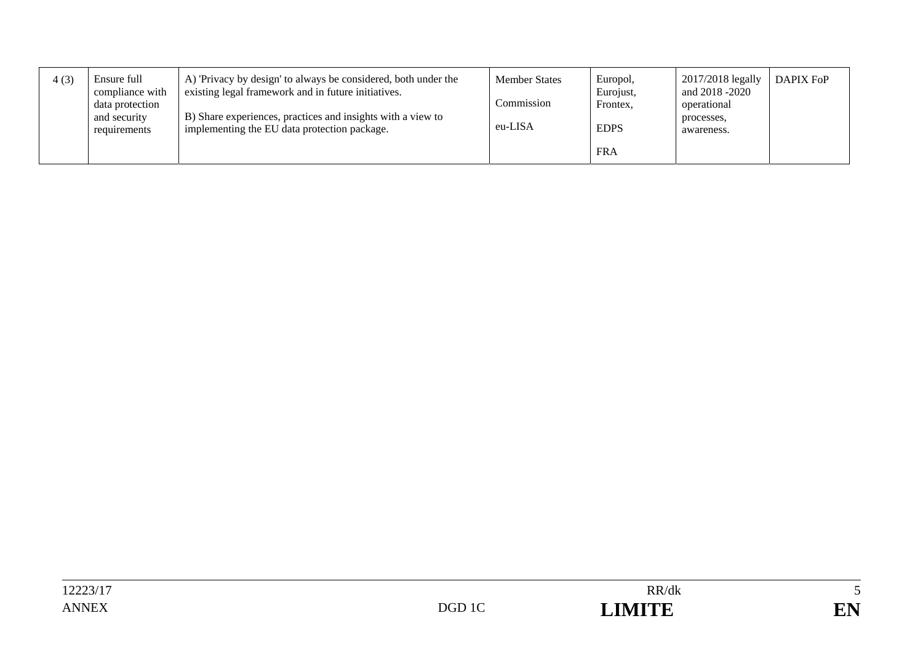| 4(3) | Ensure full<br>compliance with<br>data protection<br>and security<br>requirements | A) 'Privacy by design' to always be considered, both under the<br>existing legal framework and in future initiatives.<br>B) Share experiences, practices and insights with a view to<br>implementing the EU data protection package. | <b>Member States</b><br>Commission<br>eu-LISA | Europol,<br>Eurojust,<br>Frontex,<br><b>EDPS</b> | 2017/2018 legally<br>and 2018 -2020<br>operational<br>processes.<br>awareness. | DAPIX FoP |
|------|-----------------------------------------------------------------------------------|--------------------------------------------------------------------------------------------------------------------------------------------------------------------------------------------------------------------------------------|-----------------------------------------------|--------------------------------------------------|--------------------------------------------------------------------------------|-----------|
|      |                                                                                   |                                                                                                                                                                                                                                      |                                               | <b>FRA</b>                                       |                                                                                |           |

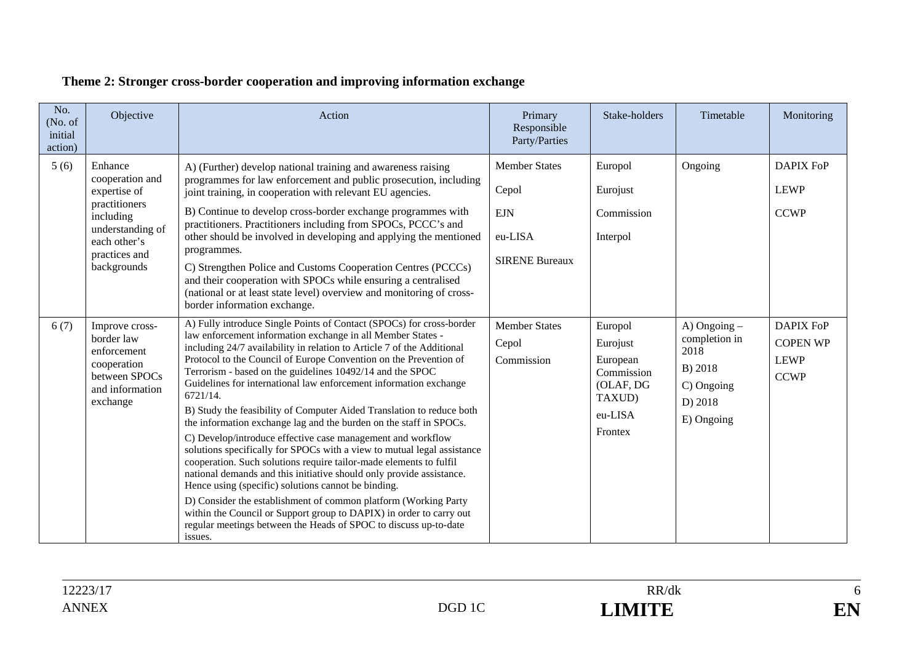| No.<br>(No. of<br>initial<br>action) | Objective                                                                                                                                    | Action                                                                                                                                                                                                                                                                                                                                                                                                                                                                                                                                                                                                                                                                                                                                                                                                                                                                                                                                                                                                                                                                                                                                                  | Primary<br>Responsible<br>Party/Parties                                         | Stake-holders                                                                              | Timetable                                                                               | Monitoring                                                        |
|--------------------------------------|----------------------------------------------------------------------------------------------------------------------------------------------|---------------------------------------------------------------------------------------------------------------------------------------------------------------------------------------------------------------------------------------------------------------------------------------------------------------------------------------------------------------------------------------------------------------------------------------------------------------------------------------------------------------------------------------------------------------------------------------------------------------------------------------------------------------------------------------------------------------------------------------------------------------------------------------------------------------------------------------------------------------------------------------------------------------------------------------------------------------------------------------------------------------------------------------------------------------------------------------------------------------------------------------------------------|---------------------------------------------------------------------------------|--------------------------------------------------------------------------------------------|-----------------------------------------------------------------------------------------|-------------------------------------------------------------------|
| 5(6)                                 | Enhance<br>cooperation and<br>expertise of<br>practitioners<br>including<br>understanding of<br>each other's<br>practices and<br>backgrounds | A) (Further) develop national training and awareness raising<br>programmes for law enforcement and public prosecution, including<br>joint training, in cooperation with relevant EU agencies.<br>B) Continue to develop cross-border exchange programmes with<br>practitioners. Practitioners including from SPOCs, PCCC's and<br>other should be involved in developing and applying the mentioned<br>programmes.<br>C) Strengthen Police and Customs Cooperation Centres (PCCCs)<br>and their cooperation with SPOCs while ensuring a centralised<br>(national or at least state level) overview and monitoring of cross-<br>border information exchange.                                                                                                                                                                                                                                                                                                                                                                                                                                                                                             | <b>Member States</b><br>Cepol<br><b>EJN</b><br>eu-LISA<br><b>SIRENE Bureaux</b> | Europol<br>Eurojust<br>Commission<br>Interpol                                              | Ongoing                                                                                 | <b>DAPIX FoP</b><br><b>LEWP</b><br><b>CCWP</b>                    |
| 6(7)                                 | Improve cross-<br>border law<br>enforcement<br>cooperation<br>between SPOCs<br>and information<br>exchange                                   | A) Fully introduce Single Points of Contact (SPOCs) for cross-border<br>law enforcement information exchange in all Member States -<br>including 24/7 availability in relation to Article 7 of the Additional<br>Protocol to the Council of Europe Convention on the Prevention of<br>Terrorism - based on the guidelines 10492/14 and the SPOC<br>Guidelines for international law enforcement information exchange<br>6721/14.<br>B) Study the feasibility of Computer Aided Translation to reduce both<br>the information exchange lag and the burden on the staff in SPOCs.<br>C) Develop/introduce effective case management and workflow<br>solutions specifically for SPOCs with a view to mutual legal assistance<br>cooperation. Such solutions require tailor-made elements to fulfil<br>national demands and this initiative should only provide assistance.<br>Hence using (specific) solutions cannot be binding.<br>D) Consider the establishment of common platform (Working Party<br>within the Council or Support group to DAPIX) in order to carry out<br>regular meetings between the Heads of SPOC to discuss up-to-date<br>issues. | <b>Member States</b><br>Cepol<br>Commission                                     | Europol<br>Eurojust<br>European<br>Commission<br>(OLAF, DG<br>TAXUD)<br>eu-LISA<br>Frontex | A) Ongoing -<br>completion in<br>2018<br>B) 2018<br>C) Ongoing<br>D) 2018<br>E) Ongoing | <b>DAPIX FoP</b><br><b>COPEN WP</b><br><b>LEWP</b><br><b>CCWP</b> |

## **Theme 2: Stronger cross-border cooperation and improving information exchange**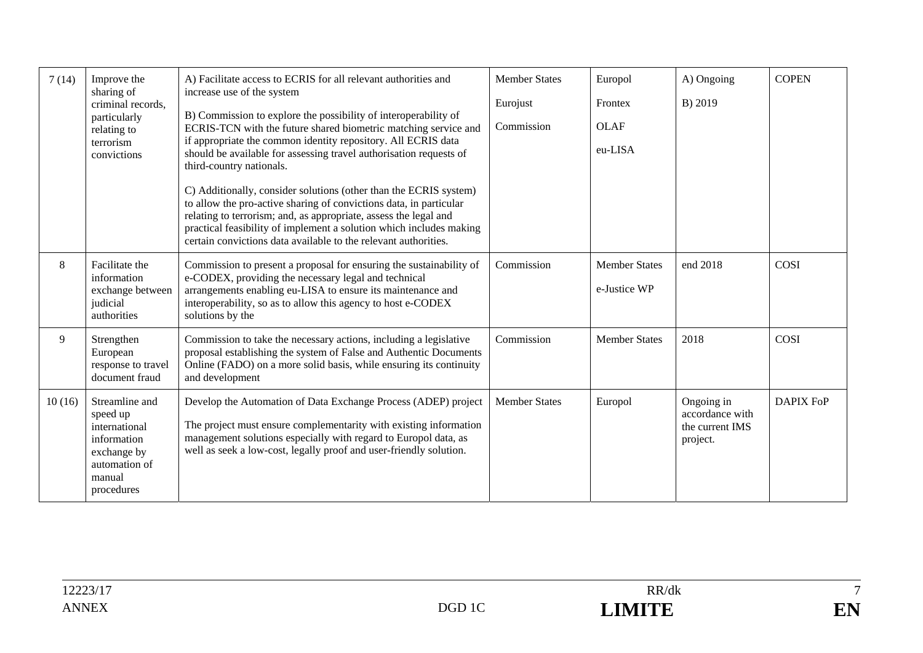| 7(14)  | Improve the<br>sharing of                                                                                          | A) Facilitate access to ECRIS for all relevant authorities and<br>increase use of the system                                                                                                                                                                                                                                                          | <b>Member States</b> | Europol                              | A) Ongoing                                                   | <b>COPEN</b>     |
|--------|--------------------------------------------------------------------------------------------------------------------|-------------------------------------------------------------------------------------------------------------------------------------------------------------------------------------------------------------------------------------------------------------------------------------------------------------------------------------------------------|----------------------|--------------------------------------|--------------------------------------------------------------|------------------|
|        | criminal records,                                                                                                  |                                                                                                                                                                                                                                                                                                                                                       | Eurojust             | Frontex                              | B) 2019                                                      |                  |
|        | particularly<br>relating to                                                                                        | B) Commission to explore the possibility of interoperability of<br>ECRIS-TCN with the future shared biometric matching service and                                                                                                                                                                                                                    | Commission           | <b>OLAF</b>                          |                                                              |                  |
|        | terrorism<br>convictions                                                                                           | if appropriate the common identity repository. All ECRIS data<br>should be available for assessing travel authorisation requests of<br>third-country nationals.                                                                                                                                                                                       |                      | eu-LISA                              |                                                              |                  |
|        |                                                                                                                    | C) Additionally, consider solutions (other than the ECRIS system)<br>to allow the pro-active sharing of convictions data, in particular<br>relating to terrorism; and, as appropriate, assess the legal and<br>practical feasibility of implement a solution which includes making<br>certain convictions data available to the relevant authorities. |                      |                                      |                                                              |                  |
| 8      | Facilitate the<br>information<br>exchange between<br>judicial<br>authorities                                       | Commission to present a proposal for ensuring the sustainability of<br>e-CODEX, providing the necessary legal and technical<br>arrangements enabling eu-LISA to ensure its maintenance and<br>interoperability, so as to allow this agency to host e-CODEX<br>solutions by the                                                                        | Commission           | <b>Member States</b><br>e-Justice WP | end 2018                                                     | COSI             |
| 9      | Strengthen<br>European<br>response to travel<br>document fraud                                                     | Commission to take the necessary actions, including a legislative<br>proposal establishing the system of False and Authentic Documents<br>Online (FADO) on a more solid basis, while ensuring its continuity<br>and development                                                                                                                       | Commission           | <b>Member States</b>                 | 2018                                                         | COSI             |
| 10(16) | Streamline and<br>speed up<br>international<br>information<br>exchange by<br>automation of<br>manual<br>procedures | Develop the Automation of Data Exchange Process (ADEP) project<br>The project must ensure complementarity with existing information<br>management solutions especially with regard to Europol data, as<br>well as seek a low-cost, legally proof and user-friendly solution.                                                                          | <b>Member States</b> | Europol                              | Ongoing in<br>accordance with<br>the current IMS<br>project. | <b>DAPIX FoP</b> |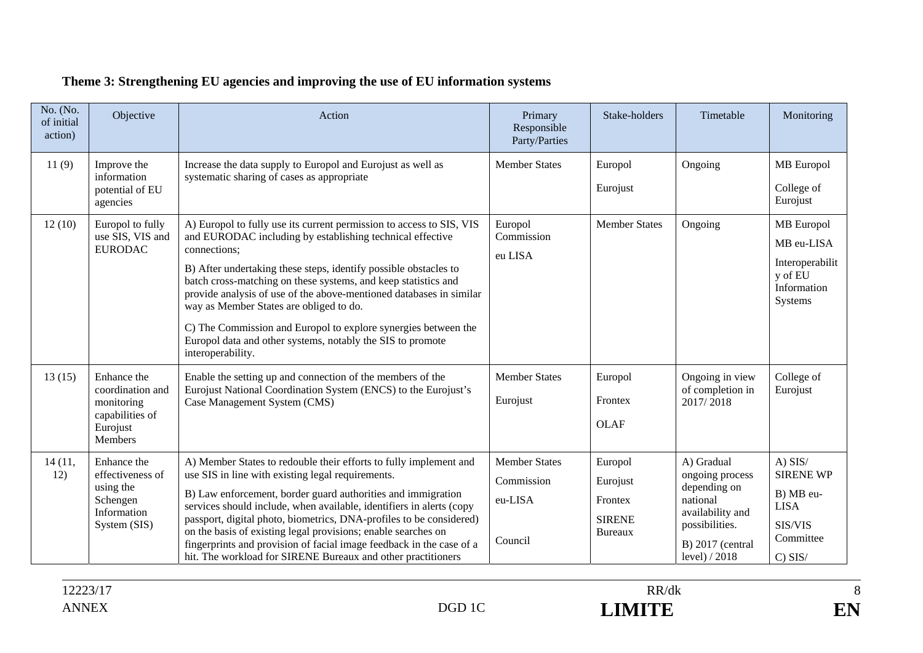| No. (No.<br>of initial<br>action) | Objective                                                                               | Action                                                                                                                                                                                                                                                                                                                                                                                                                                                                                                                                                         | Primary<br>Responsible<br>Party/Parties                  | Stake-holders                                                     | Timetable                                                                                                                              | Monitoring                                                                                     |
|-----------------------------------|-----------------------------------------------------------------------------------------|----------------------------------------------------------------------------------------------------------------------------------------------------------------------------------------------------------------------------------------------------------------------------------------------------------------------------------------------------------------------------------------------------------------------------------------------------------------------------------------------------------------------------------------------------------------|----------------------------------------------------------|-------------------------------------------------------------------|----------------------------------------------------------------------------------------------------------------------------------------|------------------------------------------------------------------------------------------------|
| 11(9)                             | Improve the<br>information<br>potential of EU<br>agencies                               | Increase the data supply to Europol and Eurojust as well as<br>systematic sharing of cases as appropriate                                                                                                                                                                                                                                                                                                                                                                                                                                                      | <b>Member States</b>                                     | Europol<br>Eurojust                                               | Ongoing                                                                                                                                | <b>MB</b> Europol<br>College of<br>Eurojust                                                    |
| 12(10)                            | Europol to fully<br>use SIS, VIS and<br>${\tt EURODAC}$                                 | A) Europol to fully use its current permission to access to SIS, VIS<br>and EURODAC including by establishing technical effective<br>connections;<br>B) After undertaking these steps, identify possible obstacles to<br>batch cross-matching on these systems, and keep statistics and<br>provide analysis of use of the above-mentioned databases in similar<br>way as Member States are obliged to do.<br>C) The Commission and Europol to explore synergies between the<br>Europol data and other systems, notably the SIS to promote<br>interoperability. | Europol<br>Commission<br>eu LISA                         | <b>Member States</b>                                              | Ongoing                                                                                                                                | <b>MB</b> Europol<br>MB eu-LISA<br>Interoperabilit<br>y of EU<br>Information<br>Systems        |
| 13(15)                            | Enhance the<br>coordination and<br>monitoring<br>capabilities of<br>Eurojust<br>Members | Enable the setting up and connection of the members of the<br>Eurojust National Coordination System (ENCS) to the Eurojust's<br>Case Management System (CMS)                                                                                                                                                                                                                                                                                                                                                                                                   | <b>Member States</b><br>Eurojust                         | Europol<br>Frontex<br><b>OLAF</b>                                 | Ongoing in view<br>of completion in<br>2017/2018                                                                                       | College of<br>Eurojust                                                                         |
| 14 (11,<br>12)                    | Enhance the<br>effectiveness of<br>using the<br>Schengen<br>Information<br>System (SIS) | A) Member States to redouble their efforts to fully implement and<br>use SIS in line with existing legal requirements.<br>B) Law enforcement, border guard authorities and immigration<br>services should include, when available, identifiers in alerts (copy<br>passport, digital photo, biometrics, DNA-profiles to be considered)<br>on the basis of existing legal provisions; enable searches on<br>fingerprints and provision of facial image feedback in the case of a<br>hit. The workload for SIRENE Bureaux and other practitioners                 | <b>Member States</b><br>Commission<br>eu-LISA<br>Council | Europol<br>Eurojust<br>Frontex<br><b>SIRENE</b><br><b>Bureaux</b> | A) Gradual<br>ongoing process<br>depending on<br>national<br>availability and<br>possibilities.<br>$B)$ 2017 (central<br>level) / 2018 | $A)$ SIS/<br><b>SIRENE WP</b><br>B) MB eu-<br><b>LISA</b><br>SIS/VIS<br>Committee<br>$C)$ SIS/ |

## **Theme 3: Strengthening EU agencies and improving the use of EU information systems**

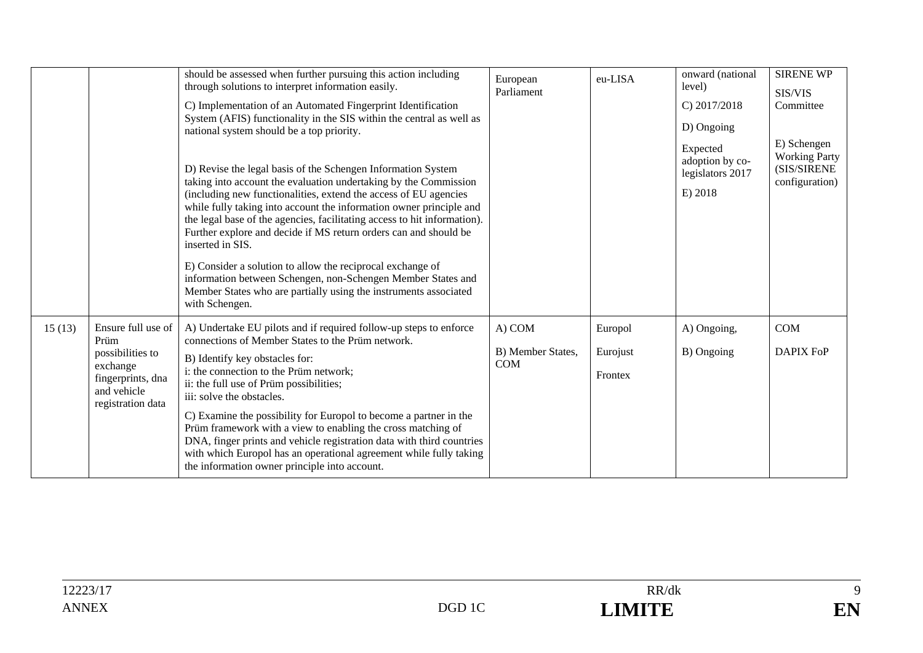|        |                                                                                                                     | should be assessed when further pursuing this action including<br>through solutions to interpret information easily.<br>C) Implementation of an Automated Fingerprint Identification                                                                                                                                                                                                                                                                                                                                                                                                                                                                                                               | European<br>Parliament                    | eu-LISA                        | onward (national<br>level)<br>$C$ ) 2017/2018                            | <b>SIRENE WP</b><br>SIS/VIS<br>Committee                             |
|--------|---------------------------------------------------------------------------------------------------------------------|----------------------------------------------------------------------------------------------------------------------------------------------------------------------------------------------------------------------------------------------------------------------------------------------------------------------------------------------------------------------------------------------------------------------------------------------------------------------------------------------------------------------------------------------------------------------------------------------------------------------------------------------------------------------------------------------------|-------------------------------------------|--------------------------------|--------------------------------------------------------------------------|----------------------------------------------------------------------|
|        |                                                                                                                     | System (AFIS) functionality in the SIS within the central as well as<br>national system should be a top priority.<br>D) Revise the legal basis of the Schengen Information System<br>taking into account the evaluation undertaking by the Commission<br>(including new functionalities, extend the access of EU agencies<br>while fully taking into account the information owner principle and<br>the legal base of the agencies, facilitating access to hit information).<br>Further explore and decide if MS return orders can and should be<br>inserted in SIS.<br>E) Consider a solution to allow the reciprocal exchange of<br>information between Schengen, non-Schengen Member States and |                                           |                                | D) Ongoing<br>Expected<br>adoption by co-<br>legislators 2017<br>E) 2018 | E) Schengen<br><b>Working Party</b><br>(SIS/SIRENE<br>configuration) |
|        |                                                                                                                     | Member States who are partially using the instruments associated<br>with Schengen.                                                                                                                                                                                                                                                                                                                                                                                                                                                                                                                                                                                                                 |                                           |                                |                                                                          |                                                                      |
| 15(13) | Ensure full use of<br>Prüm<br>possibilities to<br>exchange<br>fingerprints, dna<br>and vehicle<br>registration data | A) Undertake EU pilots and if required follow-up steps to enforce<br>connections of Member States to the Prüm network.<br>B) Identify key obstacles for:<br>i: the connection to the Prüm network;<br>ii: the full use of Prüm possibilities;<br>iii: solve the obstacles.<br>C) Examine the possibility for Europol to become a partner in the<br>Prüm framework with a view to enabling the cross matching of<br>DNA, finger prints and vehicle registration data with third countries<br>with which Europol has an operational agreement while fully taking<br>the information owner principle into account.                                                                                    | A) COM<br>B) Member States,<br><b>COM</b> | Europol<br>Eurojust<br>Frontex | A) Ongoing,<br>B) Ongoing                                                | <b>COM</b><br><b>DAPIX FoP</b>                                       |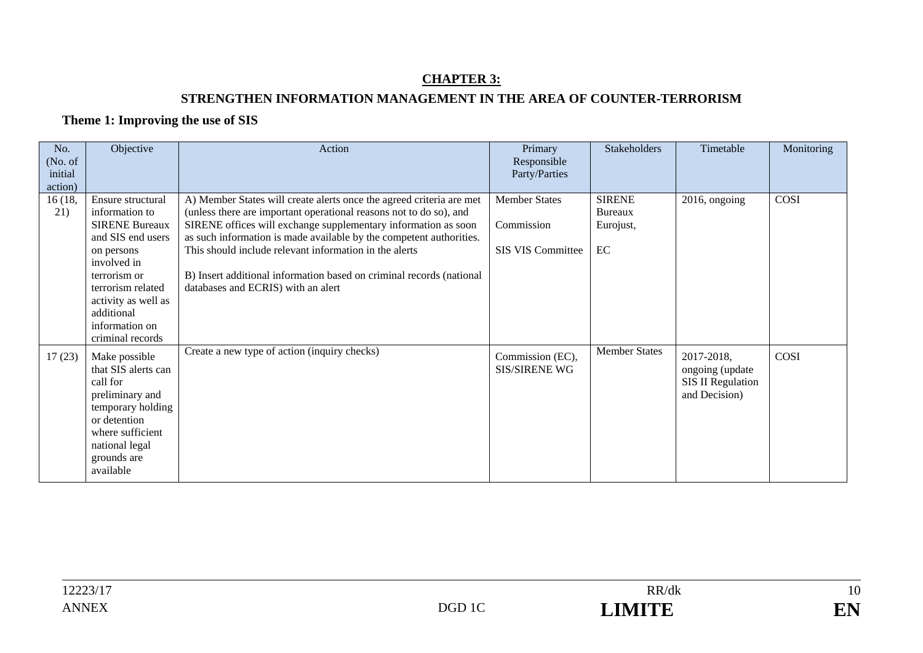### **CHAPTER 3: STRENGTHEN INFORMATION MANAGEMENT IN THE AREA OF COUNTER-TERRORISM**

#### **Theme 1: Improving the use of SIS**

| No.<br>(No. of<br>initial<br>action) | Objective                                                                                                                                                                                                                      | Action                                                                                                                                                                                                                                                                                                                                                                                                                                                      | Primary<br>Responsible<br>Party/Parties                        | <b>Stakeholders</b>                         | Timetable                                                           | Monitoring |
|--------------------------------------|--------------------------------------------------------------------------------------------------------------------------------------------------------------------------------------------------------------------------------|-------------------------------------------------------------------------------------------------------------------------------------------------------------------------------------------------------------------------------------------------------------------------------------------------------------------------------------------------------------------------------------------------------------------------------------------------------------|----------------------------------------------------------------|---------------------------------------------|---------------------------------------------------------------------|------------|
| 16 (18,<br>21)                       | Ensure structural<br>information to<br><b>SIRENE Bureaux</b><br>and SIS end users<br>on persons<br>involved in<br>terrorism or<br>terrorism related<br>activity as well as<br>additional<br>information on<br>criminal records | A) Member States will create alerts once the agreed criteria are met<br>(unless there are important operational reasons not to do so), and<br>SIRENE offices will exchange supplementary information as soon<br>as such information is made available by the competent authorities.<br>This should include relevant information in the alerts<br>B) Insert additional information based on criminal records (national<br>databases and ECRIS) with an alert | <b>Member States</b><br>Commission<br><b>SIS VIS Committee</b> | <b>SIRENE</b><br>Bureaux<br>Eurojust,<br>EC | 2016, ongoing                                                       | COSI       |
| 17(23)                               | Make possible<br>that SIS alerts can<br>call for<br>preliminary and<br>temporary holding<br>or detention<br>where sufficient<br>national legal<br>grounds are<br>available                                                     | Create a new type of action (inquiry checks)                                                                                                                                                                                                                                                                                                                                                                                                                | Commission (EC),<br><b>SIS/SIRENE WG</b>                       | <b>Member States</b>                        | 2017-2018,<br>ongoing (update<br>SIS II Regulation<br>and Decision) | COSI       |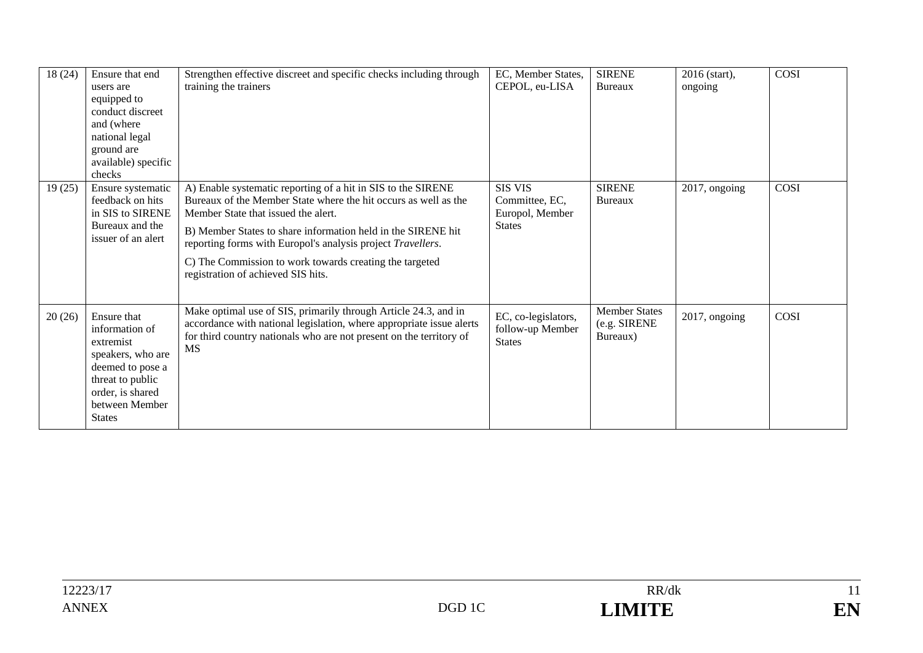| 18(24) | Ensure that end<br>users are<br>equipped to<br>conduct discreet<br>and (where<br>national legal<br>ground are<br>available) specific<br>checks                 | Strengthen effective discreet and specific checks including through<br>training the trainers                                                                                                                                                                                                                                                                                                           | EC, Member States,<br>CEPOL, eu-LISA                                 | <b>SIRENE</b><br>Bureaux                         | 2016 (start),<br>ongoing | <b>COSI</b> |
|--------|----------------------------------------------------------------------------------------------------------------------------------------------------------------|--------------------------------------------------------------------------------------------------------------------------------------------------------------------------------------------------------------------------------------------------------------------------------------------------------------------------------------------------------------------------------------------------------|----------------------------------------------------------------------|--------------------------------------------------|--------------------------|-------------|
| 19(25) | Ensure systematic<br>feedback on hits<br>in SIS to SIRENE<br>Bureaux and the<br>issuer of an alert                                                             | A) Enable systematic reporting of a hit in SIS to the SIRENE<br>Bureaux of the Member State where the hit occurs as well as the<br>Member State that issued the alert.<br>B) Member States to share information held in the SIRENE hit<br>reporting forms with Europol's analysis project Travellers.<br>C) The Commission to work towards creating the targeted<br>registration of achieved SIS hits. | <b>SIS VIS</b><br>Committee, EC,<br>Europol, Member<br><b>States</b> | <b>SIRENE</b><br>Bureaux                         | 2017, ongoing            | COSI        |
| 20(26) | Ensure that<br>information of<br>extremist<br>speakers, who are<br>deemed to pose a<br>threat to public<br>order, is shared<br>between Member<br><b>States</b> | Make optimal use of SIS, primarily through Article 24.3, and in<br>accordance with national legislation, where appropriate issue alerts<br>for third country nationals who are not present on the territory of<br><b>MS</b>                                                                                                                                                                            | EC, co-legislators,<br>follow-up Member<br><b>States</b>             | <b>Member States</b><br>(e.g. SIRENE<br>Bureaux) | 2017, ongoing            | COSI        |

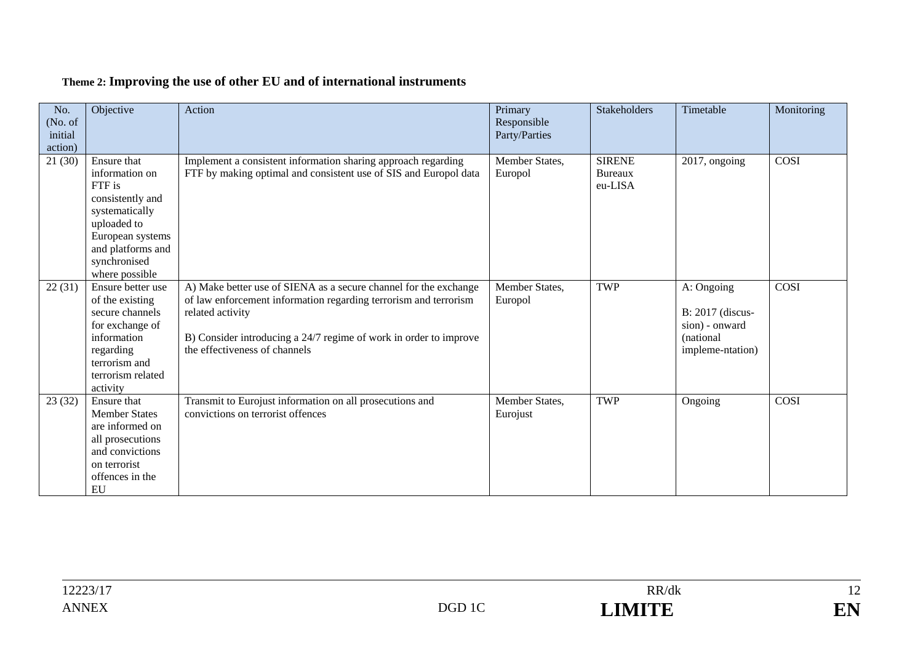| No.<br>(No. of<br>initial<br>action) | Objective                                                                                                                                                               | Action                                                                                                                                                                                                                                                         | Primary<br>Responsible<br>Party/Parties | <b>Stakeholders</b>                        | Timetable                                                                          | Monitoring |
|--------------------------------------|-------------------------------------------------------------------------------------------------------------------------------------------------------------------------|----------------------------------------------------------------------------------------------------------------------------------------------------------------------------------------------------------------------------------------------------------------|-----------------------------------------|--------------------------------------------|------------------------------------------------------------------------------------|------------|
| 21(30)                               | Ensure that<br>information on<br>FTF is<br>consistently and<br>systematically<br>uploaded to<br>European systems<br>and platforms and<br>synchronised<br>where possible | Implement a consistent information sharing approach regarding<br>FTF by making optimal and consistent use of SIS and Europol data                                                                                                                              | Member States,<br>Europol               | <b>SIRENE</b><br><b>Bureaux</b><br>eu-LISA | 2017, ongoing                                                                      | COSI       |
| 22(31)                               | Ensure better use<br>of the existing<br>secure channels<br>for exchange of<br>information<br>regarding<br>terrorism and<br>terrorism related<br>activity                | A) Make better use of SIENA as a secure channel for the exchange<br>of law enforcement information regarding terrorism and terrorism<br>related activity<br>B) Consider introducing a 24/7 regime of work in order to improve<br>the effectiveness of channels | Member States,<br>Europol               | <b>TWP</b>                                 | A: Ongoing<br>B: 2017 (discus-<br>sion) - onward<br>(national)<br>impleme-ntation) | COSI       |
| 23(32)                               | Ensure that<br><b>Member States</b><br>are informed on<br>all prosecutions<br>and convictions<br>on terrorist<br>offences in the<br>EU                                  | Transmit to Eurojust information on all prosecutions and<br>convictions on terrorist offences                                                                                                                                                                  | Member States,<br>Eurojust              | <b>TWP</b>                                 | Ongoing                                                                            | COSI       |

# **Theme 2: Improving the use of other EU and of international instruments**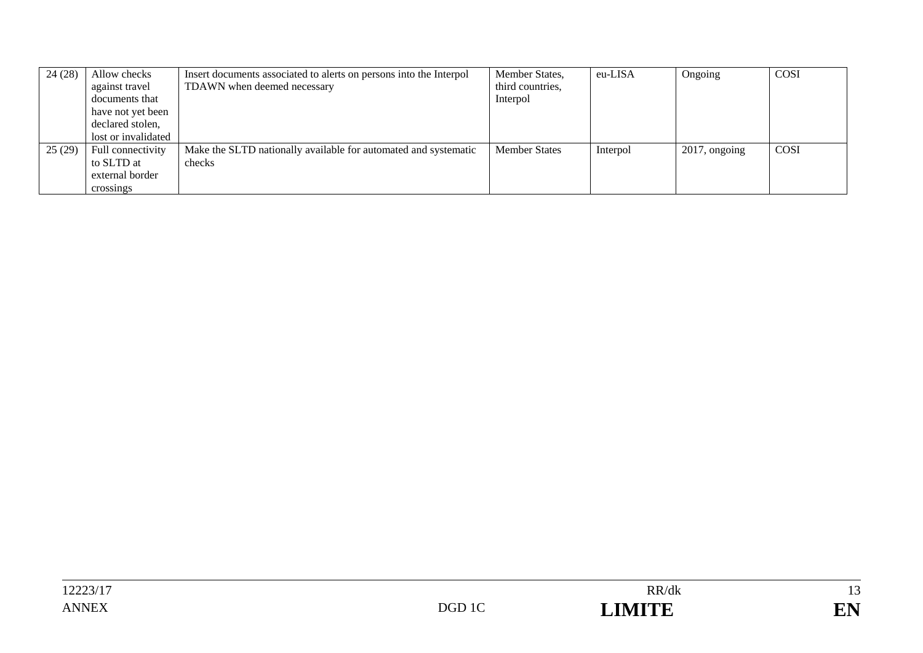| 24(28) | Allow checks<br>against travel<br>documents that<br>have not yet been<br>declared stolen,<br>lost or invalidated | Insert documents associated to alerts on persons into the Interpol<br>TDAWN when deemed necessary | Member States,<br>third countries,<br>Interpol | eu-LISA  | Ongoing          | <b>COSI</b> |
|--------|------------------------------------------------------------------------------------------------------------------|---------------------------------------------------------------------------------------------------|------------------------------------------------|----------|------------------|-------------|
| 25(29) | Full connectivity<br>to SLTD at<br>external border<br>crossings                                                  | Make the SLTD nationally available for automated and systematic<br>checks                         | <b>Member States</b>                           | Interpol | $2017$ , ongoing | COSI        |



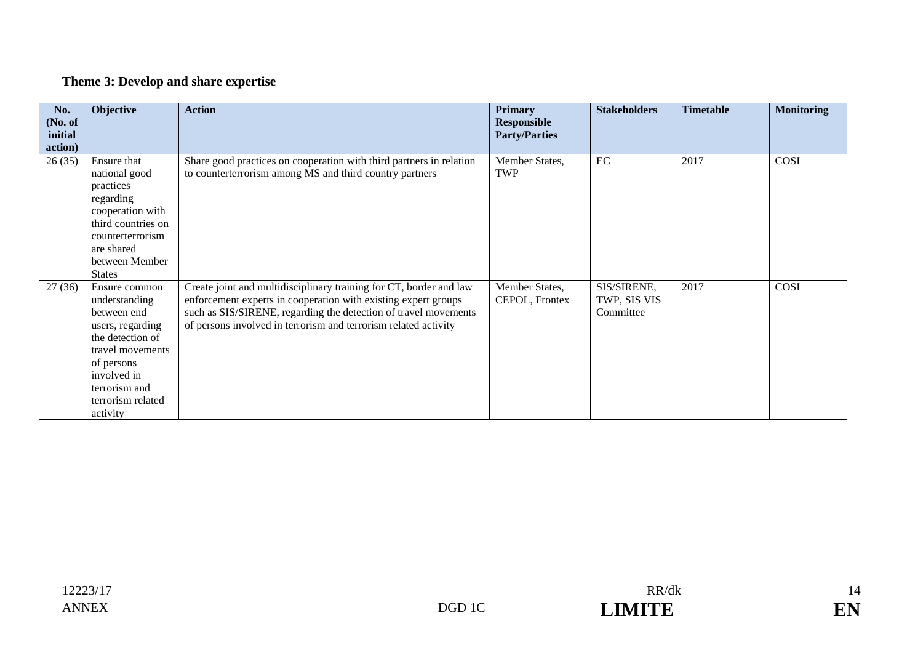## **Theme 3: Develop and share expertise**

| No.<br>(No. of<br>initial | Objective                                                                                                                                                                                | <b>Action</b>                                                                                                                                                                                                                                                              | <b>Primary</b><br>Responsible<br><b>Party/Parties</b> | <b>Stakeholders</b>                      | <b>Timetable</b> | <b>Monitoring</b> |
|---------------------------|------------------------------------------------------------------------------------------------------------------------------------------------------------------------------------------|----------------------------------------------------------------------------------------------------------------------------------------------------------------------------------------------------------------------------------------------------------------------------|-------------------------------------------------------|------------------------------------------|------------------|-------------------|
| action)                   |                                                                                                                                                                                          |                                                                                                                                                                                                                                                                            |                                                       |                                          |                  |                   |
| 26(35)                    | Ensure that<br>national good<br>practices<br>regarding<br>cooperation with<br>third countries on<br>counterterrorism<br>are shared<br>between Member<br><b>States</b>                    | Share good practices on cooperation with third partners in relation<br>to counterterrorism among MS and third country partners                                                                                                                                             | Member States,<br><b>TWP</b>                          | EC                                       | 2017             | COSI              |
| 27(36)                    | Ensure common<br>understanding<br>between end<br>users, regarding<br>the detection of<br>travel movements<br>of persons<br>involved in<br>terrorism and<br>terrorism related<br>activity | Create joint and multidisciplinary training for CT, border and law<br>enforcement experts in cooperation with existing expert groups<br>such as SIS/SIRENE, regarding the detection of travel movements<br>of persons involved in terrorism and terrorism related activity | Member States,<br>CEPOL, Frontex                      | SIS/SIRENE,<br>TWP, SIS VIS<br>Committee | 2017             | COSI              |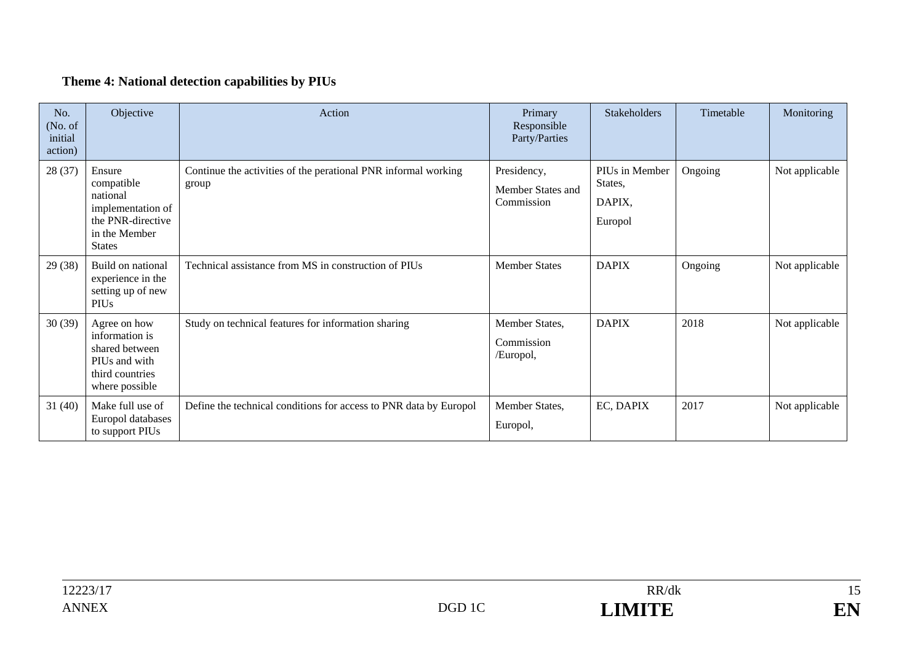## **Theme 4: National detection capabilities by PIUs**

| No.<br>(No. of<br>initial<br>action) | Objective                                                                                                    | Action                                                                  | Primary<br>Responsible<br>Party/Parties        | <b>Stakeholders</b>                            | Timetable | Monitoring     |
|--------------------------------------|--------------------------------------------------------------------------------------------------------------|-------------------------------------------------------------------------|------------------------------------------------|------------------------------------------------|-----------|----------------|
| 28 (37)                              | Ensure<br>compatible<br>national<br>implementation of<br>the PNR-directive<br>in the Member<br><b>States</b> | Continue the activities of the perational PNR informal working<br>group | Presidency,<br>Member States and<br>Commission | PIUs in Member<br>States,<br>DAPIX,<br>Europol | Ongoing   | Not applicable |
| 29 (38)                              | Build on national<br>experience in the<br>setting up of new<br><b>PIUs</b>                                   | Technical assistance from MS in construction of PIUs                    | <b>Member States</b>                           | <b>DAPIX</b>                                   | Ongoing   | Not applicable |
| 30(39)                               | Agree on how<br>information is<br>shared between<br>PIUs and with<br>third countries<br>where possible       | Study on technical features for information sharing                     | Member States,<br>Commission<br>/Europol,      | <b>DAPIX</b>                                   | 2018      | Not applicable |
| 31(40)                               | Make full use of<br>Europol databases<br>to support PIUs                                                     | Define the technical conditions for access to PNR data by Europol       | Member States,<br>Europol,                     | EC, DAPIX                                      | 2017      | Not applicable |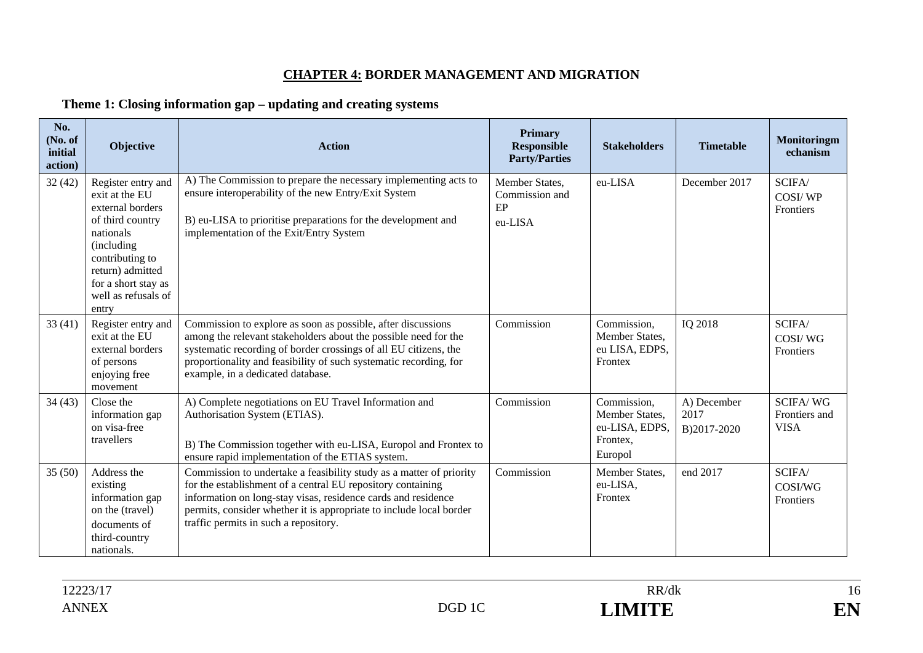### **CHAPTER 4: BORDER MANAGEMENT AND MIGRATION**

### **Theme 1: Closing information gap – updating and creating systems**

| No.<br>(No. of<br>initial<br>action) | Objective                                                                                                                                                                                             | <b>Action</b>                                                                                                                                                                                                                                                                                                       | <b>Primary</b><br><b>Responsible</b><br><b>Party/Parties</b> | <b>Stakeholders</b>                                                    | <b>Timetable</b>                   | Monitoringm<br>echanism                         |
|--------------------------------------|-------------------------------------------------------------------------------------------------------------------------------------------------------------------------------------------------------|---------------------------------------------------------------------------------------------------------------------------------------------------------------------------------------------------------------------------------------------------------------------------------------------------------------------|--------------------------------------------------------------|------------------------------------------------------------------------|------------------------------------|-------------------------------------------------|
| 32(42)                               | Register entry and<br>exit at the EU<br>external borders<br>of third country<br>nationals<br>(including<br>contributing to<br>return) admitted<br>for a short stay as<br>well as refusals of<br>entry | A) The Commission to prepare the necessary implementing acts to<br>ensure interoperability of the new Entry/Exit System<br>B) eu-LISA to prioritise preparations for the development and<br>implementation of the Exit/Entry System                                                                                 | Member States,<br>Commission and<br>EP<br>eu-LISA            | eu-LISA                                                                | December 2017                      | SCIFA/<br><b>COSI/WP</b><br>Frontiers           |
| 33(41)                               | Register entry and<br>exit at the EU<br>external borders<br>of persons<br>enjoying free<br>movement                                                                                                   | Commission to explore as soon as possible, after discussions<br>among the relevant stakeholders about the possible need for the<br>systematic recording of border crossings of all EU citizens, the<br>proportionality and feasibility of such systematic recording, for<br>example, in a dedicated database.       | Commission                                                   | Commission,<br>Member States,<br>eu LISA, EDPS,<br>Frontex             | IQ 2018                            | SCIFA/<br>COSI/WG<br><b>Frontiers</b>           |
| 34(43)                               | Close the<br>information gap<br>on visa-free<br>travellers                                                                                                                                            | A) Complete negotiations on EU Travel Information and<br>Authorisation System (ETIAS).<br>B) The Commission together with eu-LISA, Europol and Frontex to<br>ensure rapid implementation of the ETIAS system.                                                                                                       | Commission                                                   | Commission,<br>Member States,<br>eu-LISA, EDPS.<br>Frontex,<br>Europol | A) December<br>2017<br>B)2017-2020 | <b>SCIFA/WG</b><br>Frontiers and<br><b>VISA</b> |
| 35(50)                               | Address the<br>existing<br>information gap<br>on the (travel)<br>documents of<br>third-country<br>nationals.                                                                                          | Commission to undertake a feasibility study as a matter of priority<br>for the establishment of a central EU repository containing<br>information on long-stay visas, residence cards and residence<br>permits, consider whether it is appropriate to include local border<br>traffic permits in such a repository. | Commission                                                   | Member States.<br>eu-LISA,<br>Frontex                                  | end 2017                           | SCIFA/<br><b>COSI/WG</b><br>Frontiers           |

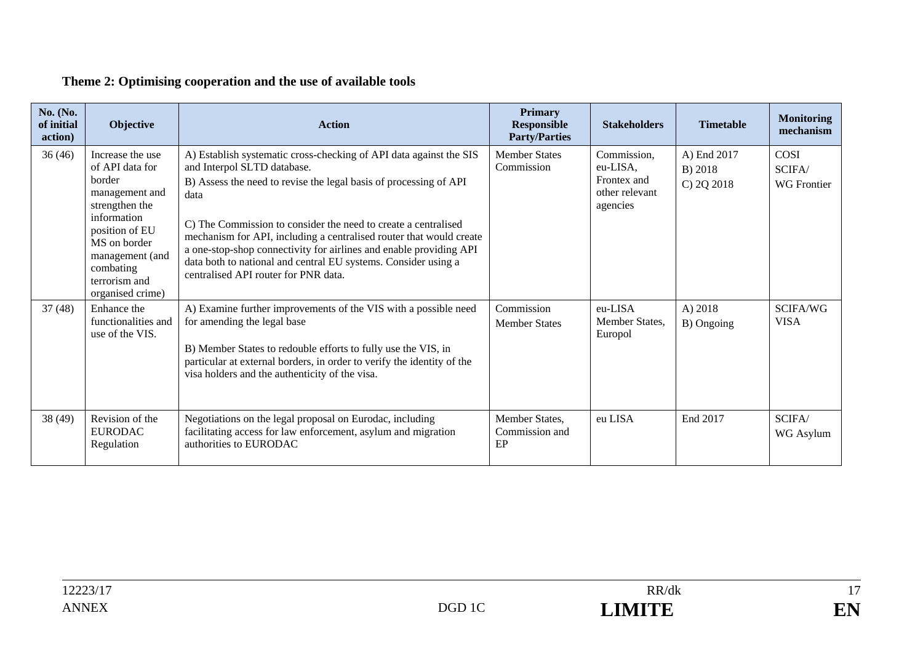### **Theme 2: Optimising cooperation and the use of available tools**

| <b>No.</b> (No.<br>of initial<br>action) | <b>Objective</b>                                                                                                                                                                                        | <b>Action</b>                                                                                                                                                                                                                                                                                                                                                                                                                                                                                           | <b>Primary</b><br><b>Responsible</b><br><b>Party/Parties</b> | <b>Stakeholders</b>                                                  | <b>Timetable</b>                     | <b>Monitoring</b><br>mechanism       |
|------------------------------------------|---------------------------------------------------------------------------------------------------------------------------------------------------------------------------------------------------------|---------------------------------------------------------------------------------------------------------------------------------------------------------------------------------------------------------------------------------------------------------------------------------------------------------------------------------------------------------------------------------------------------------------------------------------------------------------------------------------------------------|--------------------------------------------------------------|----------------------------------------------------------------------|--------------------------------------|--------------------------------------|
| 36(46)                                   | Increase the use<br>of API data for<br>border<br>management and<br>strengthen the<br>information<br>position of EU<br>MS on border<br>management (and<br>combating<br>terrorism and<br>organised crime) | A) Establish systematic cross-checking of API data against the SIS<br>and Interpol SLTD database.<br>B) Assess the need to revise the legal basis of processing of API<br>data<br>C) The Commission to consider the need to create a centralised<br>mechanism for API, including a centralised router that would create<br>a one-stop-shop connectivity for airlines and enable providing API<br>data both to national and central EU systems. Consider using a<br>centralised API router for PNR data. | <b>Member States</b><br>Commission                           | Commission,<br>eu-LISA,<br>Frontex and<br>other relevant<br>agencies | A) End 2017<br>B) 2018<br>C) 2Q 2018 | COSI<br>SCIFA/<br><b>WG</b> Frontier |
| 37(48)                                   | Enhance the<br>functionalities and<br>use of the VIS.                                                                                                                                                   | A) Examine further improvements of the VIS with a possible need<br>for amending the legal base<br>B) Member States to redouble efforts to fully use the VIS, in<br>particular at external borders, in order to verify the identity of the<br>visa holders and the authenticity of the visa.                                                                                                                                                                                                             | Commission<br><b>Member States</b>                           | eu-LISA<br>Member States,<br>Europol                                 | A) 2018<br>B) Ongoing                | SCIFA/WG<br><b>VISA</b>              |
| 38 (49)                                  | Revision of the<br><b>EURODAC</b><br>Regulation                                                                                                                                                         | Negotiations on the legal proposal on Eurodac, including<br>facilitating access for law enforcement, asylum and migration<br>authorities to EURODAC                                                                                                                                                                                                                                                                                                                                                     | Member States,<br>Commission and<br>EP                       | eu LISA                                                              | End 2017                             | SCIFA/<br>WG Asylum                  |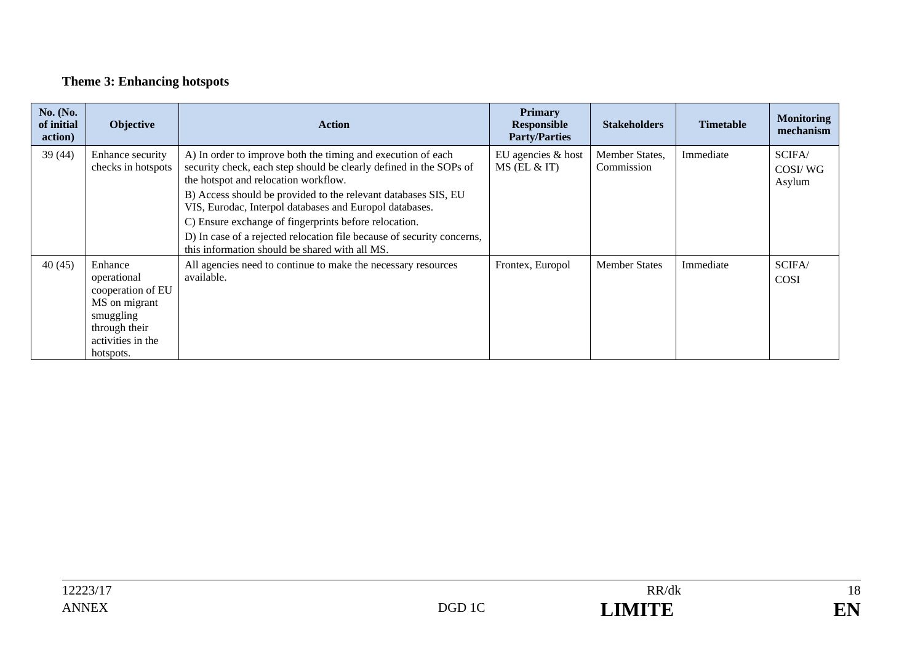## **Theme 3: Enhancing hotspots**

| No. (No.<br>of initial<br>action) | Objective                                                                                                                    | <b>Action</b>                                                                                                                                                                                                                                                                                                                                                    | <b>Primary</b><br><b>Responsible</b><br><b>Party/Parties</b> | <b>Stakeholders</b>          | <b>Timetable</b> | <b>Monitoring</b><br>mechanism |
|-----------------------------------|------------------------------------------------------------------------------------------------------------------------------|------------------------------------------------------------------------------------------------------------------------------------------------------------------------------------------------------------------------------------------------------------------------------------------------------------------------------------------------------------------|--------------------------------------------------------------|------------------------------|------------------|--------------------------------|
| 39(44)                            | Enhance security<br>checks in hotspots                                                                                       | A) In order to improve both the timing and execution of each<br>security check, each step should be clearly defined in the SOPs of<br>the hotspot and relocation workflow.<br>B) Access should be provided to the relevant databases SIS, EU<br>VIS, Eurodac, Interpol databases and Europol databases.<br>C) Ensure exchange of fingerprints before relocation. | EU agencies & host<br>$MS$ (EL & IT)                         | Member States.<br>Commission | Immediate        | SCIFA/<br>COSI/WG<br>Asylum    |
|                                   |                                                                                                                              | D) In case of a rejected relocation file because of security concerns,<br>this information should be shared with all MS.                                                                                                                                                                                                                                         |                                                              |                              |                  |                                |
| 40(45)                            | Enhance<br>operational<br>cooperation of EU<br>MS on migrant<br>smuggling<br>through their<br>activities in the<br>hotspots. | All agencies need to continue to make the necessary resources<br>available.                                                                                                                                                                                                                                                                                      | Frontex, Europol                                             | <b>Member States</b>         | Immediate        | SCIFA/<br><b>COSI</b>          |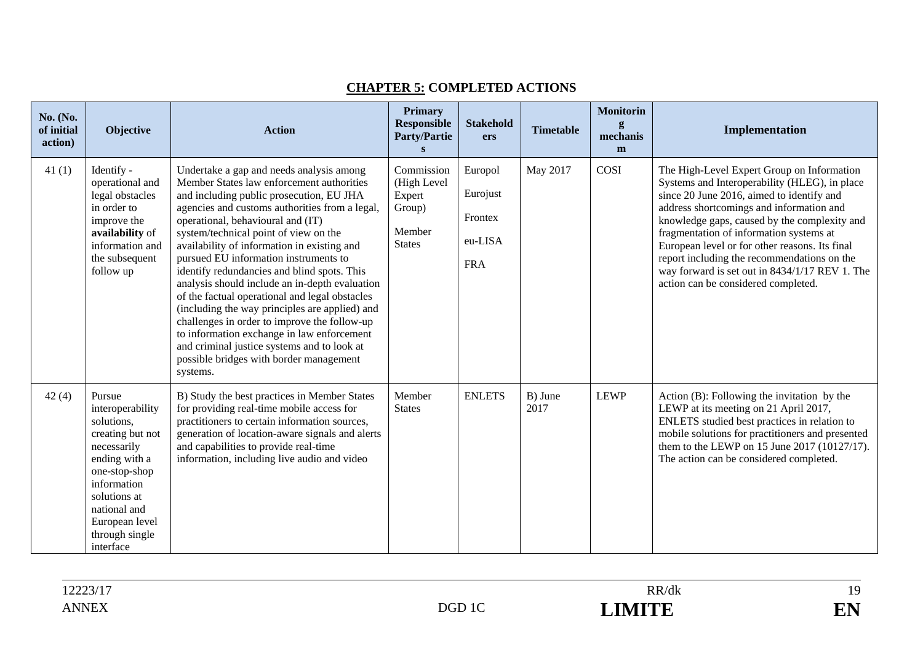| No. (No.<br>of initial<br>action) | Objective                                                                                                                                                                                                     | <b>Action</b>                                                                                                                                                                                                                                                                                                                                                                                                                                                                                                                                                                                                                                                                                                                                                      | Primary<br><b>Responsible</b><br><b>Party/Partie</b><br>$\mathbf{s}$     | <b>Stakehold</b><br>ers                                 | <b>Timetable</b> | <b>Monitorin</b><br>g<br>mechanis<br>m | Implementation                                                                                                                                                                                                                                                                                                                                                                                                                                                            |
|-----------------------------------|---------------------------------------------------------------------------------------------------------------------------------------------------------------------------------------------------------------|--------------------------------------------------------------------------------------------------------------------------------------------------------------------------------------------------------------------------------------------------------------------------------------------------------------------------------------------------------------------------------------------------------------------------------------------------------------------------------------------------------------------------------------------------------------------------------------------------------------------------------------------------------------------------------------------------------------------------------------------------------------------|--------------------------------------------------------------------------|---------------------------------------------------------|------------------|----------------------------------------|---------------------------------------------------------------------------------------------------------------------------------------------------------------------------------------------------------------------------------------------------------------------------------------------------------------------------------------------------------------------------------------------------------------------------------------------------------------------------|
| 41(1)                             | Identify -<br>operational and<br>legal obstacles<br>in order to<br>improve the<br>availability of<br>information and<br>the subsequent<br>follow up                                                           | Undertake a gap and needs analysis among<br>Member States law enforcement authorities<br>and including public prosecution, EU JHA<br>agencies and customs authorities from a legal,<br>operational, behavioural and (IT)<br>system/technical point of view on the<br>availability of information in existing and<br>pursued EU information instruments to<br>identify redundancies and blind spots. This<br>analysis should include an in-depth evaluation<br>of the factual operational and legal obstacles<br>(including the way principles are applied) and<br>challenges in order to improve the follow-up<br>to information exchange in law enforcement<br>and criminal justice systems and to look at<br>possible bridges with border management<br>systems. | Commission<br>(High Level<br>Expert<br>Group)<br>Member<br><b>States</b> | Europol<br>Eurojust<br>Frontex<br>eu-LISA<br><b>FRA</b> | May 2017         | COSI                                   | The High-Level Expert Group on Information<br>Systems and Interoperability (HLEG), in place<br>since 20 June 2016, aimed to identify and<br>address shortcomings and information and<br>knowledge gaps, caused by the complexity and<br>fragmentation of information systems at<br>European level or for other reasons. Its final<br>report including the recommendations on the<br>way forward is set out in 8434/1/17 REV 1. The<br>action can be considered completed. |
| 42(4)                             | Pursue<br>interoperability<br>solutions,<br>creating but not<br>necessarily<br>ending with a<br>one-stop-shop<br>information<br>solutions at<br>national and<br>European level<br>through single<br>interface | B) Study the best practices in Member States<br>for providing real-time mobile access for<br>practitioners to certain information sources,<br>generation of location-aware signals and alerts<br>and capabilities to provide real-time<br>information, including live audio and video                                                                                                                                                                                                                                                                                                                                                                                                                                                                              | Member<br><b>States</b>                                                  | <b>ENLETS</b>                                           | B) June<br>2017  | <b>LEWP</b>                            | Action (B): Following the invitation by the<br>LEWP at its meeting on 21 April 2017,<br>ENLETS studied best practices in relation to<br>mobile solutions for practitioners and presented<br>them to the LEWP on 15 June 2017 (10127/17).<br>The action can be considered completed.                                                                                                                                                                                       |

#### **CHAPTER 5: COMPLETED ACTIONS**

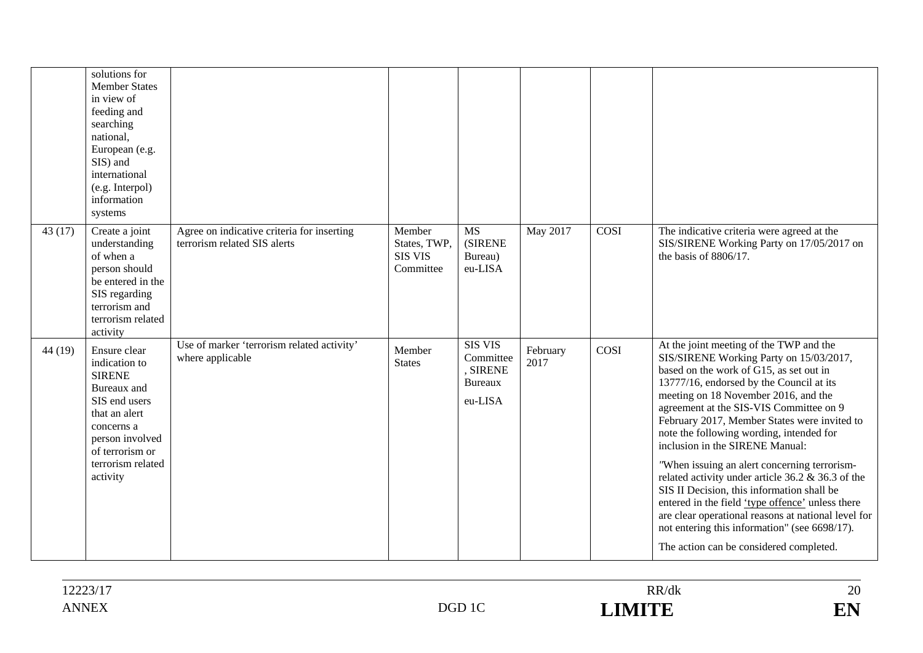|        | solutions for<br><b>Member States</b><br>in view of<br>feeding and<br>searching<br>national,<br>European (e.g.<br>SIS) and<br>international<br>(e.g. Interpol)<br>information<br>systems |                                                                            |                                                       |                                                                      |                  |             |                                                                                                                                                                                                                                                                                                                                                                                                                                                                                                                                                                                                                                                                                                                                                       |
|--------|------------------------------------------------------------------------------------------------------------------------------------------------------------------------------------------|----------------------------------------------------------------------------|-------------------------------------------------------|----------------------------------------------------------------------|------------------|-------------|-------------------------------------------------------------------------------------------------------------------------------------------------------------------------------------------------------------------------------------------------------------------------------------------------------------------------------------------------------------------------------------------------------------------------------------------------------------------------------------------------------------------------------------------------------------------------------------------------------------------------------------------------------------------------------------------------------------------------------------------------------|
| 43(17) | Create a joint<br>understanding<br>of when a<br>person should<br>be entered in the<br>SIS regarding<br>terrorism and<br>terrorism related<br>activity                                    | Agree on indicative criteria for inserting<br>terrorism related SIS alerts | Member<br>States, TWP,<br><b>SIS VIS</b><br>Committee | <b>MS</b><br><b>(SIRENE)</b><br>Bureau)<br>eu-LISA                   | May 2017         | <b>COSI</b> | The indicative criteria were agreed at the<br>SIS/SIRENE Working Party on 17/05/2017 on<br>the basis of 8806/17.                                                                                                                                                                                                                                                                                                                                                                                                                                                                                                                                                                                                                                      |
| 44(19) | Ensure clear<br>indication to<br><b>SIRENE</b><br>Bureaux and<br>SIS end users<br>that an alert<br>concerns a<br>person involved<br>of terrorism or<br>terrorism related<br>activity     | Use of marker 'terrorism related activity'<br>where applicable             | Member<br><b>States</b>                               | <b>SIS VIS</b><br>Committee<br>, SIRENE<br><b>Bureaux</b><br>eu-LISA | February<br>2017 | COSI        | At the joint meeting of the TWP and the<br>SIS/SIRENE Working Party on 15/03/2017,<br>based on the work of G15, as set out in<br>13777/16, endorsed by the Council at its<br>meeting on 18 November 2016, and the<br>agreement at the SIS-VIS Committee on 9<br>February 2017, Member States were invited to<br>note the following wording, intended for<br>inclusion in the SIRENE Manual:<br>"When issuing an alert concerning terrorism-<br>related activity under article 36.2 & 36.3 of the<br>SIS II Decision, this information shall be<br>entered in the field 'type offence' unless there<br>are clear operational reasons at national level for<br>not entering this information" (see 6698/17).<br>The action can be considered completed. |